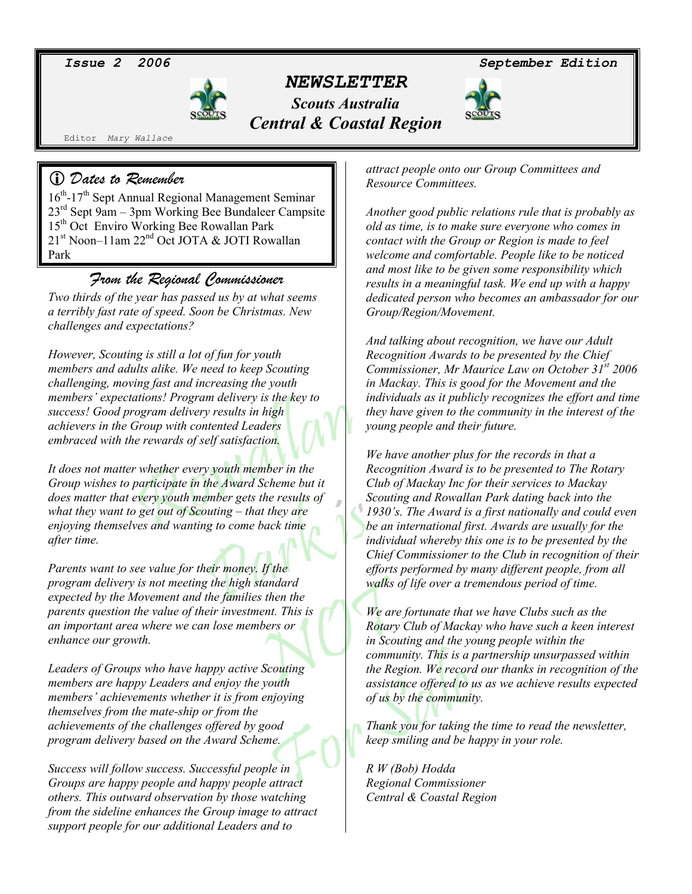## *NEWSLETTER*

*Scouts Australia Central & Coastal Region* 

*Issue 2 2006 September Edition* 



Editor *Mary Wallace*

#### L *Dates to Remember*

16th-17th Sept Annual Regional Management Seminar  $23<sup>rd</sup>$  Sept 9am – 3pm Working Bee Bundaleer Campsite 15th Oct Enviro Working Bee Rowallan Park 21<sup>st</sup> Noon-11am 22<sup>nd</sup> Oct JOTA & JOTI Rowallan Park

### *From the Regional Commissioner*

*Two thirds of the year has passed us by at what seems a terribly fast rate of speed. Soon be Christmas. New challenges and expectations?* 

*However, Scouting is still a lot of fun for youth members and adults alike. We need to keep Scouting challenging, moving fast and increasing the youth members' expectations! Program delivery is the key to success! Good program delivery results in high achievers in the Group with contented Leaders embraced with the rewards of self satisfaction.* 

*It does not matter whether every youth member in the Group wishes to participate in the Award Scheme but it does matter that every youth member gets the results of what they want to get out of Scouting – that they are enjoying themselves and wanting to come back time after time.* 

*Parents want to see value for their money. If the program delivery is not meeting the high standard expected by the Movement and the families then the parents question the value of their investment. This is an important area where we can lose members or enhance our growth.* 

*Leaders of Groups who have happy active Scouting members are happy Leaders and enjoy the youth members' achievements whether it is from enjoying themselves from the mate-ship or from the achievements of the challenges offered by good program delivery based on the Award Scheme.* 

*Success will follow success. Successful people in Groups are happy people and happy people attract others. This outward observation by those watching from the sideline enhances the Group image to attract support people for our additional Leaders and to* 

*attract people onto our Group Committees and Resource Committees.* 

*Another good public relations rule that is probably as old as time, is to make sure everyone who comes in contact with the Group or Region is made to feel welcome and comfortable. People like to be noticed and most like to be given some responsibility which results in a meaningful task. We end up with a happy dedicated person who becomes an ambassador for our Group/Region/Movement.* 

*And talking about recognition, we have our Adult Recognition Awards to be presented by the Chief Commissioner, Mr Maurice Law on October 31st 2006 in Mackay. This is good for the Movement and the individuals as it publicly recognizes the effort and time they have given to the community in the interest of the young people and their future.* 

*We have another plus for the records in that a Recognition Award is to be presented to The Rotary Club of Mackay Inc for their services to Mackay Scouting and Rowallan Park dating back into the 1930's. The Award is a first nationally and could even be an international first. Awards are usually for the individual whereby this one is to be presented by the Chief Commissioner to the Club in recognition of their efforts performed by many different people, from all walks of life over a tremendous period of time.* 

*We are fortunate that we have Clubs such as the Rotary Club of Mackay who have such a keen interest in Scouting and the young people within the community. This is a partnership unsurpassed within the Region. We record our thanks in recognition of the assistance offered to us as we achieve results expected of us by the community.* 

*Thank you for taking the time to read the newsletter, keep smiling and be happy in your role.* 

*R W (Bob) Hodda Regional Commissioner Central & Coastal Region*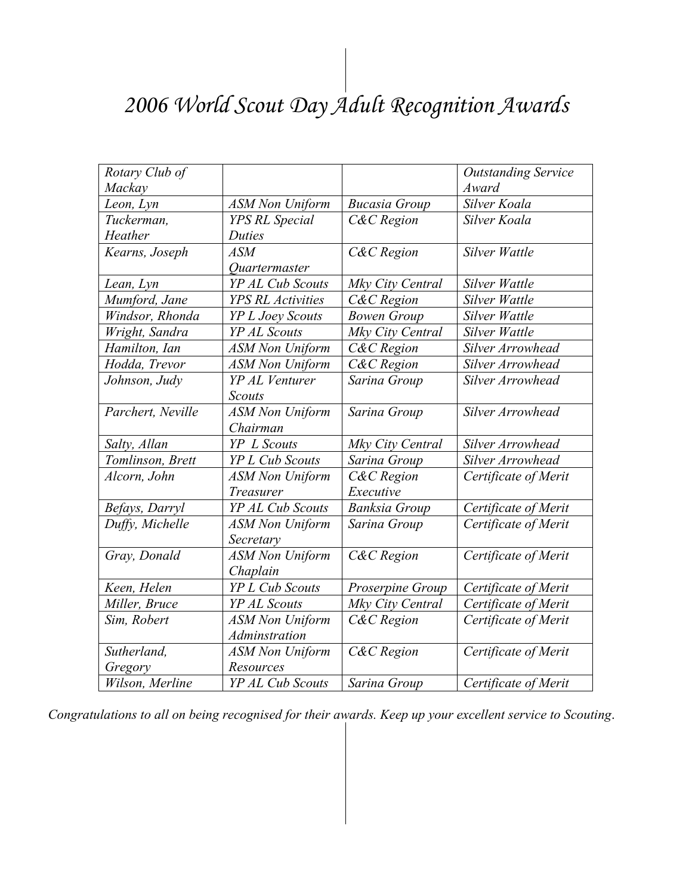# *2006 World Scout Day Adult Recognition Awards*

| Rotary Club of    |                             |                      | <b>Outstanding Service</b> |
|-------------------|-----------------------------|----------------------|----------------------------|
| Mackay            |                             |                      | Award                      |
| Leon, Lyn         | <b>ASM Non Uniform</b>      | <b>Bucasia Group</b> | Silver Koala               |
| Tuckerman,        | <b>YPS RL Special</b>       | C&C Region           | Silver Koala               |
| Heather           | <b>Duties</b>               |                      |                            |
| Kearns, Joseph    | <b>ASM</b>                  | C&C Region           | Silver Wattle              |
|                   | <i><u>Ouartermaster</u></i> |                      |                            |
| Lean, Lyn         | YP AL Cub Scouts            | Mky City Central     | Silver Wattle              |
| Mumford, Jane     | <b>YPS RL Activities</b>    | C&C Region           | Silver Wattle              |
| Windsor, Rhonda   | <b>YP L Joey Scouts</b>     | <b>Bowen Group</b>   | Silver Wattle              |
| Wright, Sandra    | YP AL Scouts                | Mky City Central     | Silver Wattle              |
| Hamilton, Ian     | <b>ASM Non Uniform</b>      | C&C Region           | Silver Arrowhead           |
| Hodda, Trevor     | <b>ASM Non Uniform</b>      | C&C Region           | Silver Arrowhead           |
| Johnson, Judy     | YP AL Venturer              | Sarina Group         | Silver Arrowhead           |
|                   | <b>Scouts</b>               |                      |                            |
| Parchert, Neville | <b>ASM Non Uniform</b>      | Sarina Group         | Silver Arrowhead           |
|                   | Chairman                    |                      |                            |
| Salty, Allan      | YP L Scouts                 | Mky City Central     | Silver Arrowhead           |
| Tomlinson, Brett  | <b>YP L Cub Scouts</b>      | Sarina Group         | Silver Arrowhead           |
| Alcorn, John      | <b>ASM Non Uniform</b>      | C&C Region           | Certificate of Merit       |
|                   | Treasurer                   | Executive            |                            |
| Befays, Darryl    | YP AL Cub Scouts            | <b>Banksia Group</b> | Certificate of Merit       |
| Duffy, Michelle   | <b>ASM Non Uniform</b>      | Sarina Group         | Certificate of Merit       |
|                   | Secretary                   |                      |                            |
| Gray, Donald      | <b>ASM Non Uniform</b>      | C&C Region           | Certificate of Merit       |
|                   | Chaplain                    |                      |                            |
| Keen, Helen       | <b>YP L Cub Scouts</b>      | Proserpine Group     | Certificate of Merit       |
| Miller, Bruce     | YP AL Scouts                | Mky City Central     | Certificate of Merit       |
| Sim, Robert       | <b>ASM Non Uniform</b>      | C&C Region           | Certificate of Merit       |
|                   | <b>Adminstration</b>        |                      |                            |
| Sutherland,       | <b>ASM Non Uniform</b>      | C&C Region           | Certificate of Merit       |
| Gregory           | Resources                   |                      |                            |
| Wilson, Merline   | YP AL Cub Scouts            | Sarina Group         | Certificate of Merit       |

*Congratulations to all on being recognised for their awards. Keep up your excellent service to Scouting*.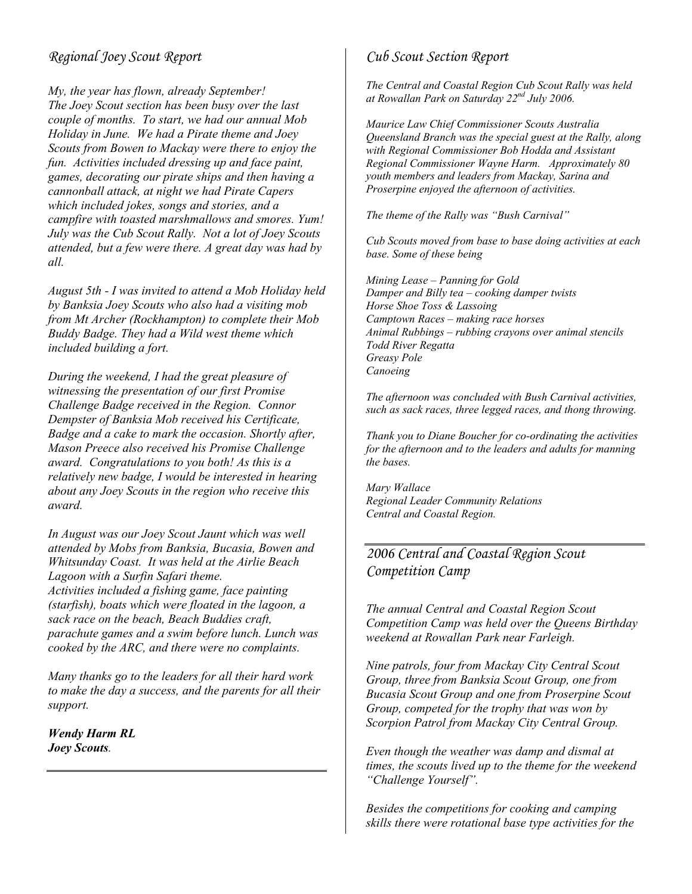#### *Regional Joey Scout Report*

*My, the year has flown, already September! The Joey Scout section has been busy over the last couple of months. To start, we had our annual Mob Holiday in June. We had a Pirate theme and Joey Scouts from Bowen to Mackay were there to enjoy the fun. Activities included dressing up and face paint, games, decorating our pirate ships and then having a cannonball attack, at night we had Pirate Capers which included jokes, songs and stories, and a campfire with toasted marshmallows and smores. Yum! July was the Cub Scout Rally. Not a lot of Joey Scouts attended, but a few were there. A great day was had by all.* 

*August 5th - I was invited to attend a Mob Holiday held by Banksia Joey Scouts who also had a visiting mob from Mt Archer (Rockhampton) to complete their Mob Buddy Badge. They had a Wild west theme which included building a fort.* 

*During the weekend, I had the great pleasure of witnessing the presentation of our first Promise Challenge Badge received in the Region. Connor Dempster of Banksia Mob received his Certificate, Badge and a cake to mark the occasion. Shortly after, Mason Preece also received his Promise Challenge award. Congratulations to you both! As this is a relatively new badge, I would be interested in hearing about any Joey Scouts in the region who receive this award.* 

*In August was our Joey Scout Jaunt which was well attended by Mobs from Banksia, Bucasia, Bowen and Whitsunday Coast. It was held at the Airlie Beach Lagoon with a Surfin Safari theme. Activities included a fishing game, face painting (starfish), boats which were floated in the lagoon, a sack race on the beach, Beach Buddies craft, parachute games and a swim before lunch. Lunch was cooked by the ARC, and there were no complaints.* 

*Many thanks go to the leaders for all their hard work to make the day a success, and the parents for all their support.* 

*Wendy Harm RL Joey Scouts.* 

#### *Cub Scout Section Report*

*The Central and Coastal Region Cub Scout Rally was held at Rowallan Park on Saturday 22nd July 2006.* 

*Maurice Law Chief Commissioner Scouts Australia Queensland Branch was the special guest at the Rally, along with Regional Commissioner Bob Hodda and Assistant Regional Commissioner Wayne Harm. Approximately 80 youth members and leaders from Mackay, Sarina and Proserpine enjoyed the afternoon of activities.* 

*The theme of the Rally was "Bush Carnival"* 

*Cub Scouts moved from base to base doing activities at each base. Some of these being* 

*Mining Lease – Panning for Gold Damper and Billy tea – cooking damper twists Horse Shoe Toss & Lassoing Camptown Races – making race horses Animal Rubbings – rubbing crayons over animal stencils Todd River Regatta Greasy Pole Canoeing* 

*The afternoon was concluded with Bush Carnival activities, such as sack races, three legged races, and thong throwing.* 

*Thank you to Diane Boucher for co-ordinating the activities for the afternoon and to the leaders and adults for manning the bases.* 

*Mary Wallace Regional Leader Community Relations Central and Coastal Region.* 

#### *2006 Central and Coastal Region Scout Competition Camp*

*The annual Central and Coastal Region Scout Competition Camp was held over the Queens Birthday weekend at Rowallan Park near Farleigh.* 

*Nine patrols, four from Mackay City Central Scout Group, three from Banksia Scout Group, one from Bucasia Scout Group and one from Proserpine Scout Group, competed for the trophy that was won by Scorpion Patrol from Mackay City Central Group.* 

*Even though the weather was damp and dismal at times, the scouts lived up to the theme for the weekend "Challenge Yourself".* 

*Besides the competitions for cooking and camping skills there were rotational base type activities for the*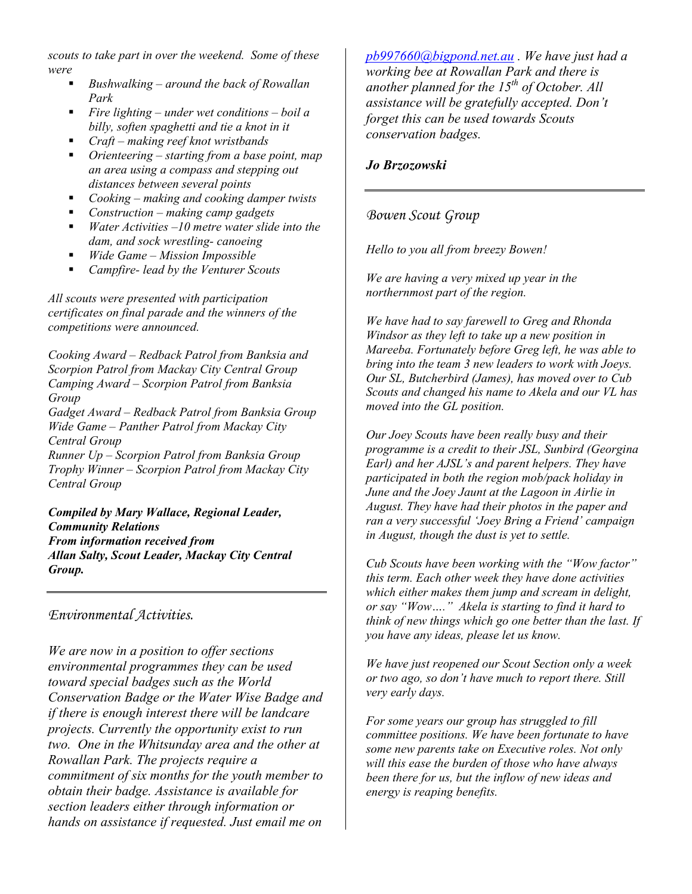*scouts to take part in over the weekend. Some of these were* 

- *Bushwalking around the back of Rowallan Park*
- *Fire lighting under wet conditions boil a billy, soften spaghetti and tie a knot in it*
- *Craft making reef knot wristbands*
- *Orienteering starting from a base point, map an area using a compass and stepping out distances between several points*
- *Cooking making and cooking damper twists*
- *Construction making camp gadgets*
- *Water Activities –10 metre water slide into the dam, and sock wrestling- canoeing*
- *Wide Game Mission Impossible*
- *Campfire- lead by the Venturer Scouts*

*All scouts were presented with participation certificates on final parade and the winners of the competitions were announced.* 

*Cooking Award – Redback Patrol from Banksia and Scorpion Patrol from Mackay City Central Group Camping Award – Scorpion Patrol from Banksia Group Gadget Award – Redback Patrol from Banksia Group Wide Game – Panther Patrol from Mackay City Central Group Runner Up – Scorpion Patrol from Banksia Group* 

*Trophy Winner – Scorpion Patrol from Mackay City Central Group* 

*Compiled by Mary Wallace, Regional Leader, Community Relations From information received from Allan Salty, Scout Leader, Mackay City Central Group.* 

*Environmental Activities.* 

*We are now in a position to offer sections environmental programmes they can be used toward special badges such as the World Conservation Badge or the Water Wise Badge and if there is enough interest there will be landcare projects. Currently the opportunity exist to run two. One in the Whitsunday area and the other at Rowallan Park. The projects require a commitment of six months for the youth member to obtain their badge. Assistance is available for section leaders either through information or hands on assistance if requested. Just email me on* 

*pb997660@bigpond.net.au . We have just had a working bee at Rowallan Park and there is another planned for the 15<sup>th</sup> of October. All assistance will be gratefully accepted. Don't forget this can be used towards Scouts conservation badges.* 

#### *Jo Brzozowski*

#### *Bowen Scout Group*

*Hello to you all from breezy Bowen!* 

*We are having a very mixed up year in the northernmost part of the region.* 

*We have had to say farewell to Greg and Rhonda Windsor as they left to take up a new position in Mareeba. Fortunately before Greg left, he was able to bring into the team 3 new leaders to work with Joeys. Our SL, Butcherbird (James), has moved over to Cub Scouts and changed his name to Akela and our VL has moved into the GL position.* 

*Our Joey Scouts have been really busy and their programme is a credit to their JSL, Sunbird (Georgina Earl) and her AJSL's and parent helpers. They have participated in both the region mob/pack holiday in June and the Joey Jaunt at the Lagoon in Airlie in August. They have had their photos in the paper and ran a very successful 'Joey Bring a Friend' campaign in August, though the dust is yet to settle.* 

*Cub Scouts have been working with the "Wow factor" this term. Each other week they have done activities which either makes them jump and scream in delight, or say "Wow…." Akela is starting to find it hard to think of new things which go one better than the last. If you have any ideas, please let us know.* 

*We have just reopened our Scout Section only a week or two ago, so don't have much to report there. Still very early days.* 

*For some years our group has struggled to fill committee positions. We have been fortunate to have some new parents take on Executive roles. Not only will this ease the burden of those who have always been there for us, but the inflow of new ideas and energy is reaping benefits.*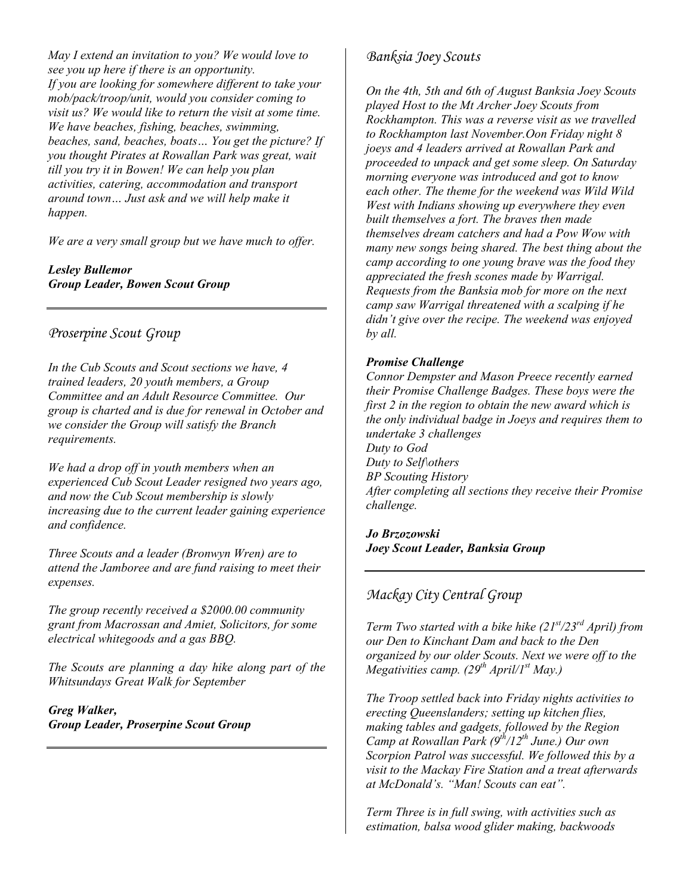*May I extend an invitation to you? We would love to see you up here if there is an opportunity. If you are looking for somewhere different to take your mob/pack/troop/unit, would you consider coming to visit us? We would like to return the visit at some time. We have beaches, fishing, beaches, swimming, beaches, sand, beaches, boats… You get the picture? If you thought Pirates at Rowallan Park was great, wait till you try it in Bowen! We can help you plan activities, catering, accommodation and transport around town… Just ask and we will help make it happen.* 

*We are a very small group but we have much to offer.* 

#### *Lesley Bullemor Group Leader, Bowen Scout Group*

#### *Proserpine Scout Group*

*In the Cub Scouts and Scout sections we have, 4 trained leaders, 20 youth members, a Group Committee and an Adult Resource Committee. Our group is charted and is due for renewal in October and we consider the Group will satisfy the Branch requirements.* 

*We had a drop off in youth members when an experienced Cub Scout Leader resigned two years ago, and now the Cub Scout membership is slowly increasing due to the current leader gaining experience and confidence.* 

*Three Scouts and a leader (Bronwyn Wren) are to attend the Jamboree and are fund raising to meet their expenses.* 

*The group recently received a \$2000.00 community grant from Macrossan and Amiet, Solicitors, for some electrical whitegoods and a gas BBQ.* 

*The Scouts are planning a day hike along part of the Whitsundays Great Walk for September* 

*Greg Walker, Group Leader, Proserpine Scout Group* 

#### *Banksia Joey Scouts*

*On the 4th, 5th and 6th of August Banksia Joey Scouts played Host to the Mt Archer Joey Scouts from Rockhampton. This was a reverse visit as we travelled to Rockhampton last November.Oon Friday night 8 joeys and 4 leaders arrived at Rowallan Park and proceeded to unpack and get some sleep. On Saturday morning everyone was introduced and got to know each other. The theme for the weekend was Wild Wild West with Indians showing up everywhere they even built themselves a fort. The braves then made themselves dream catchers and had a Pow Wow with many new songs being shared. The best thing about the camp according to one young brave was the food they appreciated the fresh scones made by Warrigal. Requests from the Banksia mob for more on the next camp saw Warrigal threatened with a scalping if he didn't give over the recipe. The weekend was enjoyed by all.* 

#### *Promise Challenge*

*Connor Dempster and Mason Preece recently earned their Promise Challenge Badges. These boys were the first 2 in the region to obtain the new award which is the only individual badge in Joeys and requires them to undertake 3 challenges Duty to God Duty to Self\others BP Scouting History After completing all sections they receive their Promise challenge.* 

*Jo Brzozowski Joey Scout Leader, Banksia Group* 

#### *Mackay City Central Group*

*Term Two started with a bike hike (21st/23rd April) from our Den to Kinchant Dam and back to the Den organized by our older Scouts. Next we were off to the Megativities camp. (29th April/1st May.)* 

*The Troop settled back into Friday nights activities to erecting Queenslanders; setting up kitchen flies, making tables and gadgets, followed by the Region Camp at Rowallan Park (9th/12th June.) Our own Scorpion Patrol was successful. We followed this by a visit to the Mackay Fire Station and a treat afterwards at McDonald's. "Man! Scouts can eat".* 

*Term Three is in full swing, with activities such as estimation, balsa wood glider making, backwoods*